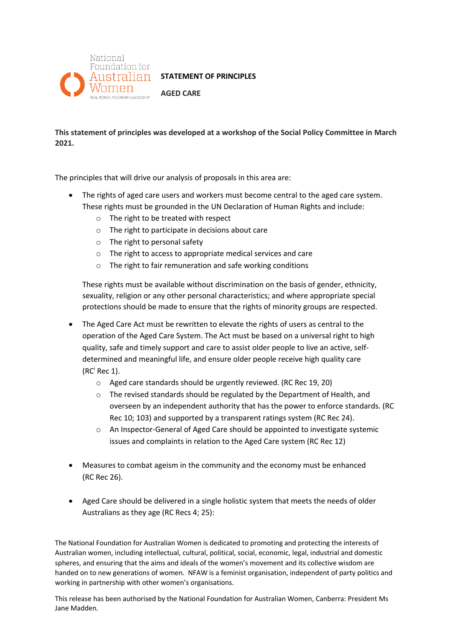

## **STATEMENT OF PRINCIPLES**

**AGED CARE**

**This statement of principles was developed at a workshop of the Social Policy Committee in March 2021.**

The principles that will drive our analysis of proposals in this area are:

- The rights of aged care users and workers must become central to the aged care system. These rights must be grounded in the UN Declaration of Human Rights and include:
	- o The right to be treated with respect
	- o The right to participate in decisions about care
	- o The right to personal safety
	- o The right to access to appropriate medical services and care
	- o The right to fair remuneration and safe working conditions

These rights must be available without discrimination on the basis of gender, ethnicity, sexuality, religion or any other personal characteristics; and where appropriate special protections should be made to ensure that the rights of minority groups are respected.

- The Aged Care Act must be rewritten to elevate the rights of users as central to the operation of the Aged Care System. The Act must be based on a universal right to high quality, safe and timely support and care to assist older people to live an active, selfdetermined and meaningful life, and ensure older people receive high quality care  $(RC<sup>i</sup> Rec 1).$ 
	- o Aged care standards should be urgently reviewed. (RC Rec 19, 20)
	- o The revised standards should be regulated by the Department of Health, and overseen by an independent authority that has the power to enforce standards. (RC Rec 10; 103) and supported by a transparent ratings system (RC Rec 24).
	- o An Inspector-General of Aged Care should be appointed to investigate systemic issues and complaints in relation to the Aged Care system (RC Rec 12)
- Measures to combat ageism in the community and the economy must be enhanced (RC Rec 26).
- Aged Care should be delivered in a single holistic system that meets the needs of older Australians as they age (RC Recs 4; 25):

The National Foundation for Australian Women is dedicated to promoting and protecting the interests of Australian women, including intellectual, cultural, political, social, economic, legal, industrial and domestic spheres, and ensuring that the aims and ideals of the women's movement and its collective wisdom are handed on to new generations of women. NFAW is a feminist organisation, independent of party politics and working in partnership with other women's organisations.

This release has been authorised by the National Foundation for Australian Women, Canberra: President Ms Jane Madden.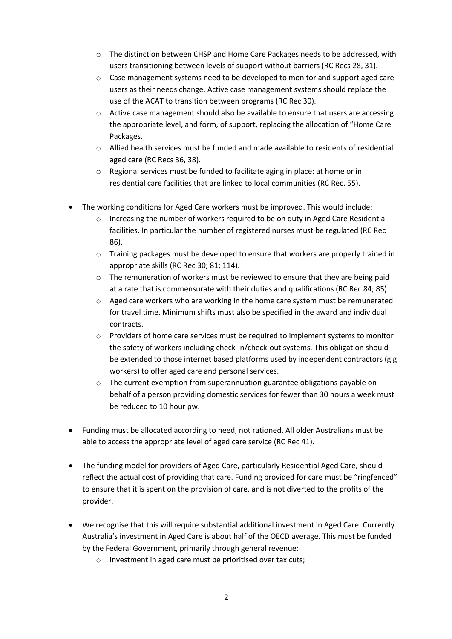- $\circ$  The distinction between CHSP and Home Care Packages needs to be addressed, with users transitioning between levels of support without barriers (RC Recs 28, 31).
- o Case management systems need to be developed to monitor and support aged care users as their needs change. Active case management systems should replace the use of the ACAT to transition between programs (RC Rec 30).
- $\circ$  Active case management should also be available to ensure that users are accessing the appropriate level, and form, of support, replacing the allocation of "Home Care Packages.
- $\circ$  Allied health services must be funded and made available to residents of residential aged care (RC Recs 36, 38).
- $\circ$  Regional services must be funded to facilitate aging in place: at home or in residential care facilities that are linked to local communities (RC Rec. 55).
- The working conditions for Aged Care workers must be improved. This would include:
	- Increasing the number of workers required to be on duty in Aged Care Residential facilities. In particular the number of registered nurses must be regulated (RC Rec 86).
	- o Training packages must be developed to ensure that workers are properly trained in appropriate skills (RC Rec 30; 81; 114).
	- $\circ$  The remuneration of workers must be reviewed to ensure that they are being paid at a rate that is commensurate with their duties and qualifications (RC Rec 84; 85).
	- $\circ$  Aged care workers who are working in the home care system must be remunerated for travel time. Minimum shifts must also be specified in the award and individual contracts.
	- o Providers of home care services must be required to implement systems to monitor the safety of workers including check-in/check-out systems. This obligation should be extended to those internet based platforms used by independent contractors (gig workers) to offer aged care and personal services.
	- $\circ$  The current exemption from superannuation guarantee obligations payable on behalf of a person providing domestic services for fewer than 30 hours a week must be reduced to 10 hour pw.
- Funding must be allocated according to need, not rationed. All older Australians must be able to access the appropriate level of aged care service (RC Rec 41).
- The funding model for providers of Aged Care, particularly Residential Aged Care, should reflect the actual cost of providing that care. Funding provided for care must be "ringfenced" to ensure that it is spent on the provision of care, and is not diverted to the profits of the provider.
- We recognise that this will require substantial additional investment in Aged Care. Currently Australia's investment in Aged Care is about half of the OECD average. This must be funded by the Federal Government, primarily through general revenue:
	- o Investment in aged care must be prioritised over tax cuts;